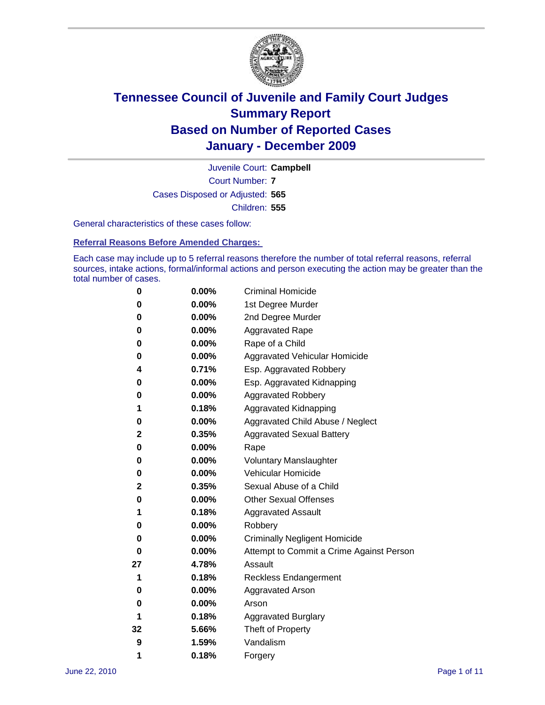

Court Number: **7** Juvenile Court: **Campbell** Cases Disposed or Adjusted: **565** Children: **555**

General characteristics of these cases follow:

**Referral Reasons Before Amended Charges:** 

Each case may include up to 5 referral reasons therefore the number of total referral reasons, referral sources, intake actions, formal/informal actions and person executing the action may be greater than the total number of cases.

| 0  | 0.00%    | <b>Criminal Homicide</b>                 |
|----|----------|------------------------------------------|
| 0  | 0.00%    | 1st Degree Murder                        |
| 0  | 0.00%    | 2nd Degree Murder                        |
| 0  | 0.00%    | <b>Aggravated Rape</b>                   |
| 0  | 0.00%    | Rape of a Child                          |
| 0  | 0.00%    | Aggravated Vehicular Homicide            |
| 4  | 0.71%    | Esp. Aggravated Robbery                  |
| 0  | 0.00%    | Esp. Aggravated Kidnapping               |
| 0  | 0.00%    | <b>Aggravated Robbery</b>                |
| 1  | 0.18%    | Aggravated Kidnapping                    |
| 0  | 0.00%    | Aggravated Child Abuse / Neglect         |
| 2  | 0.35%    | <b>Aggravated Sexual Battery</b>         |
| 0  | 0.00%    | Rape                                     |
| 0  | 0.00%    | <b>Voluntary Manslaughter</b>            |
| 0  | 0.00%    | Vehicular Homicide                       |
| 2  | 0.35%    | Sexual Abuse of a Child                  |
| 0  | 0.00%    | <b>Other Sexual Offenses</b>             |
| 1  | 0.18%    | <b>Aggravated Assault</b>                |
| 0  | $0.00\%$ | Robbery                                  |
| 0  | 0.00%    | <b>Criminally Negligent Homicide</b>     |
| 0  | 0.00%    | Attempt to Commit a Crime Against Person |
| 27 | 4.78%    | Assault                                  |
| 1  | 0.18%    | <b>Reckless Endangerment</b>             |
| 0  | 0.00%    | <b>Aggravated Arson</b>                  |
| 0  | 0.00%    | Arson                                    |
| 1  | 0.18%    | <b>Aggravated Burglary</b>               |
| 32 | 5.66%    | Theft of Property                        |
| 9  | 1.59%    | Vandalism                                |
| 1  | 0.18%    | Forgery                                  |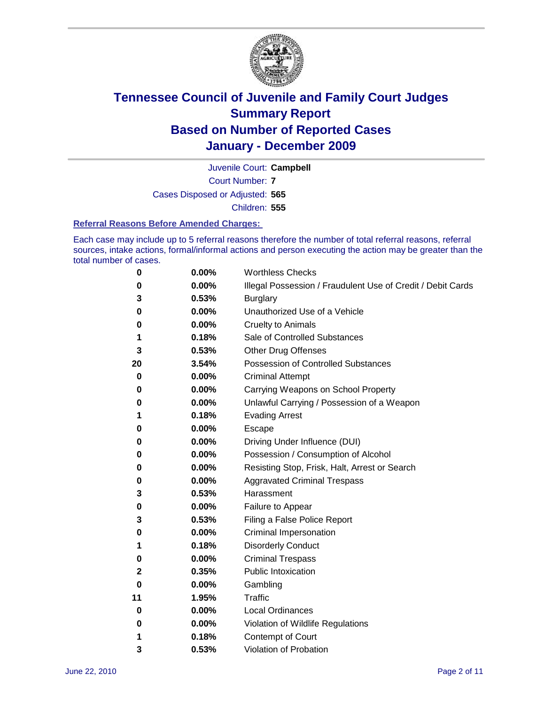

Court Number: **7** Juvenile Court: **Campbell** Cases Disposed or Adjusted: **565** Children: **555**

#### **Referral Reasons Before Amended Charges:**

Each case may include up to 5 referral reasons therefore the number of total referral reasons, referral sources, intake actions, formal/informal actions and person executing the action may be greater than the total number of cases.

| 0            | 0.00% | <b>Worthless Checks</b>                                     |
|--------------|-------|-------------------------------------------------------------|
| 0            | 0.00% | Illegal Possession / Fraudulent Use of Credit / Debit Cards |
| 3            | 0.53% | <b>Burglary</b>                                             |
| 0            | 0.00% | Unauthorized Use of a Vehicle                               |
| 0            | 0.00% | <b>Cruelty to Animals</b>                                   |
| 1            | 0.18% | Sale of Controlled Substances                               |
| 3            | 0.53% | <b>Other Drug Offenses</b>                                  |
| 20           | 3.54% | <b>Possession of Controlled Substances</b>                  |
| 0            | 0.00% | <b>Criminal Attempt</b>                                     |
| 0            | 0.00% | Carrying Weapons on School Property                         |
| 0            | 0.00% | Unlawful Carrying / Possession of a Weapon                  |
| 1            | 0.18% | <b>Evading Arrest</b>                                       |
| 0            | 0.00% | Escape                                                      |
| 0            | 0.00% | Driving Under Influence (DUI)                               |
| 0            | 0.00% | Possession / Consumption of Alcohol                         |
| 0            | 0.00% | Resisting Stop, Frisk, Halt, Arrest or Search               |
| 0            | 0.00% | <b>Aggravated Criminal Trespass</b>                         |
| 3            | 0.53% | Harassment                                                  |
| 0            | 0.00% | Failure to Appear                                           |
| 3            | 0.53% | Filing a False Police Report                                |
| 0            | 0.00% | Criminal Impersonation                                      |
| 1            | 0.18% | <b>Disorderly Conduct</b>                                   |
| 0            | 0.00% | <b>Criminal Trespass</b>                                    |
| $\mathbf{2}$ | 0.35% | <b>Public Intoxication</b>                                  |
| 0            | 0.00% | Gambling                                                    |
| 11           | 1.95% | Traffic                                                     |
| 0            | 0.00% | <b>Local Ordinances</b>                                     |
| 0            | 0.00% | Violation of Wildlife Regulations                           |
| 1            | 0.18% | Contempt of Court                                           |
| 3            | 0.53% | Violation of Probation                                      |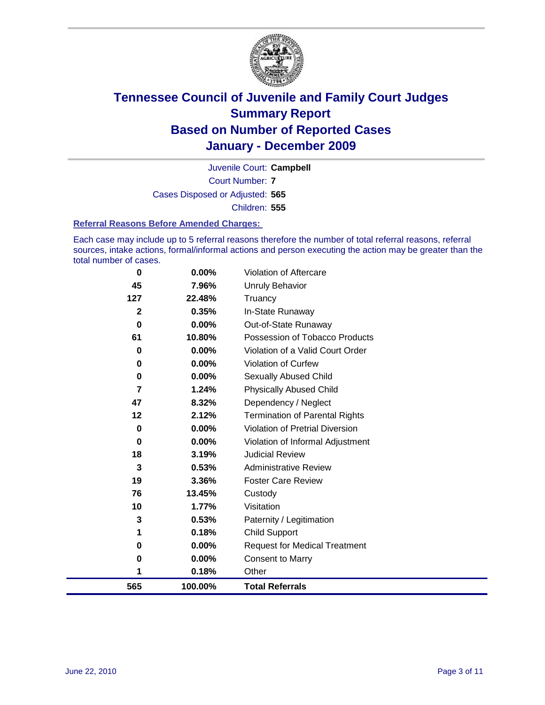

Court Number: **7** Juvenile Court: **Campbell** Cases Disposed or Adjusted: **565** Children: **555**

#### **Referral Reasons Before Amended Charges:**

Each case may include up to 5 referral reasons therefore the number of total referral reasons, referral sources, intake actions, formal/informal actions and person executing the action may be greater than the total number of cases.

| 565         | 100.00% | <b>Total Referrals</b>                 |
|-------------|---------|----------------------------------------|
| 1           | 0.18%   | Other                                  |
| 0           | 0.00%   | Consent to Marry                       |
| 0           | 0.00%   | <b>Request for Medical Treatment</b>   |
| 1           | 0.18%   | <b>Child Support</b>                   |
| 3           | 0.53%   | Paternity / Legitimation               |
| 10          | 1.77%   | Visitation                             |
| 76          | 13.45%  | Custody                                |
| 19          | 3.36%   | <b>Foster Care Review</b>              |
| 3           | 0.53%   | <b>Administrative Review</b>           |
| 18          | 3.19%   | <b>Judicial Review</b>                 |
| 0           | 0.00%   | Violation of Informal Adjustment       |
| 0           | 0.00%   | <b>Violation of Pretrial Diversion</b> |
| 12          | 2.12%   | <b>Termination of Parental Rights</b>  |
| 47          | 8.32%   | Dependency / Neglect                   |
| 7           | 1.24%   | <b>Physically Abused Child</b>         |
| 0           | 0.00%   | <b>Sexually Abused Child</b>           |
| 0           | 0.00%   | <b>Violation of Curfew</b>             |
| 0           | 0.00%   | Violation of a Valid Court Order       |
| 61          | 10.80%  | Possession of Tobacco Products         |
| 0           | 0.00%   | Out-of-State Runaway                   |
| $\mathbf 2$ | 0.35%   | In-State Runaway                       |
| 127         | 22.48%  | Truancy                                |
| 45          | 7.96%   | <b>Unruly Behavior</b>                 |
| 0           | 0.00%   | Violation of Aftercare                 |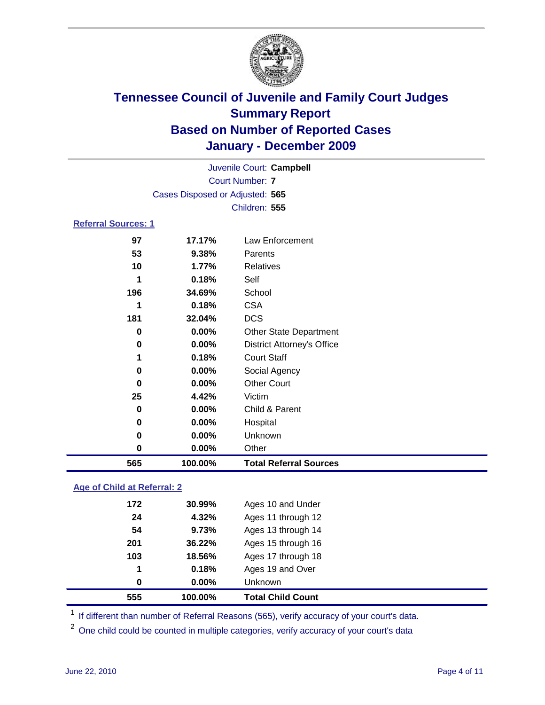

| Juvenile Court: Campbell   |                                 |                                   |  |
|----------------------------|---------------------------------|-----------------------------------|--|
|                            | <b>Court Number: 7</b>          |                                   |  |
|                            | Cases Disposed or Adjusted: 565 |                                   |  |
|                            |                                 | Children: 555                     |  |
| <b>Referral Sources: 1</b> |                                 |                                   |  |
| 97                         | 17.17%                          | Law Enforcement                   |  |
| 53                         | 9.38%                           | Parents                           |  |
| 10                         | 1.77%                           | <b>Relatives</b>                  |  |
| 1                          | 0.18%                           | Self                              |  |
| 196                        | 34.69%                          | School                            |  |
| 1                          | 0.18%                           | <b>CSA</b>                        |  |
| 181                        | 32.04%                          | <b>DCS</b>                        |  |
| 0                          | $0.00\%$                        | Other State Department            |  |
| $\pmb{0}$                  | $0.00\%$                        | <b>District Attorney's Office</b> |  |
| 1                          | 0.18%                           | <b>Court Staff</b>                |  |
| 0                          | 0.00%                           | Social Agency                     |  |
| 0                          | 0.00%                           | <b>Other Court</b>                |  |
| 25                         | 4.42%                           | Victim                            |  |
| 0                          | 0.00%                           | Child & Parent                    |  |
| 0                          | 0.00%                           | Hospital                          |  |
| 0                          | 0.00%                           | Unknown                           |  |
| 0                          | 0.00%                           | Other                             |  |
| 565                        | 100.00%                         | <b>Total Referral Sources</b>     |  |

### **Age of Child at Referral: 2**

| 555 | 100.00% | <b>Total Child Count</b> |  |
|-----|---------|--------------------------|--|
| 0   | 0.00%   | <b>Unknown</b>           |  |
| 1   | 0.18%   | Ages 19 and Over         |  |
| 103 | 18.56%  | Ages 17 through 18       |  |
| 201 | 36.22%  | Ages 15 through 16       |  |
| 54  | 9.73%   | Ages 13 through 14       |  |
| 24  | 4.32%   | Ages 11 through 12       |  |
| 172 | 30.99%  | Ages 10 and Under        |  |
|     |         |                          |  |

<sup>1</sup> If different than number of Referral Reasons (565), verify accuracy of your court's data.

One child could be counted in multiple categories, verify accuracy of your court's data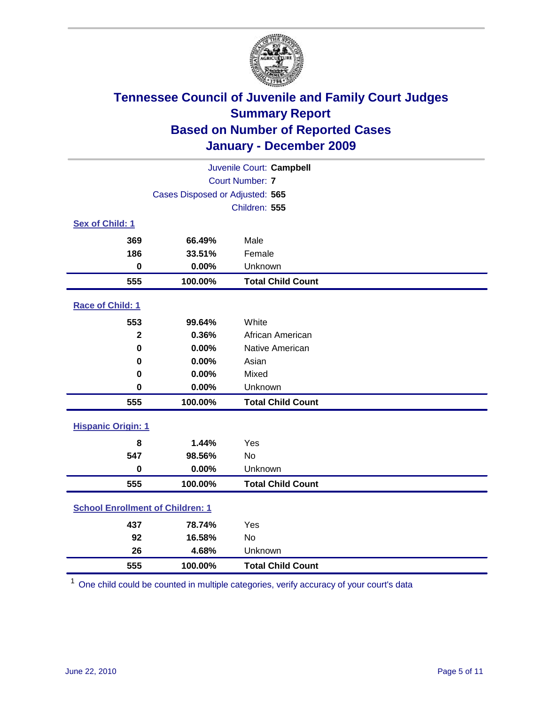

| Juvenile Court: Campbell                |                                 |                          |  |  |  |
|-----------------------------------------|---------------------------------|--------------------------|--|--|--|
|                                         | <b>Court Number: 7</b>          |                          |  |  |  |
|                                         | Cases Disposed or Adjusted: 565 |                          |  |  |  |
|                                         | Children: 555                   |                          |  |  |  |
| Sex of Child: 1                         |                                 |                          |  |  |  |
| 369                                     | 66.49%                          | Male                     |  |  |  |
| 186                                     | 33.51%                          | Female                   |  |  |  |
| $\mathbf 0$                             | 0.00%                           | Unknown                  |  |  |  |
| 555                                     | 100.00%                         | <b>Total Child Count</b> |  |  |  |
| Race of Child: 1                        |                                 |                          |  |  |  |
| 553                                     | 99.64%                          | White                    |  |  |  |
| $\overline{\mathbf{2}}$                 | 0.36%                           | African American         |  |  |  |
| $\mathbf 0$                             | 0.00%                           | Native American          |  |  |  |
| $\bf{0}$                                | 0.00%                           | Asian                    |  |  |  |
| 0                                       | 0.00%                           | Mixed                    |  |  |  |
| $\mathbf 0$                             | 0.00%                           | Unknown                  |  |  |  |
| 555                                     | 100.00%                         | <b>Total Child Count</b> |  |  |  |
| <b>Hispanic Origin: 1</b>               |                                 |                          |  |  |  |
| 8                                       | 1.44%                           | Yes                      |  |  |  |
| 547                                     | 98.56%                          | <b>No</b>                |  |  |  |
| $\bf{0}$                                | 0.00%                           | Unknown                  |  |  |  |
| 555                                     | 100.00%                         | <b>Total Child Count</b> |  |  |  |
| <b>School Enrollment of Children: 1</b> |                                 |                          |  |  |  |
| 437                                     | 78.74%                          | Yes                      |  |  |  |
| 92                                      | 16.58%                          | No                       |  |  |  |
| 26                                      | 4.68%                           | Unknown                  |  |  |  |
| 555                                     | 100.00%                         | <b>Total Child Count</b> |  |  |  |

One child could be counted in multiple categories, verify accuracy of your court's data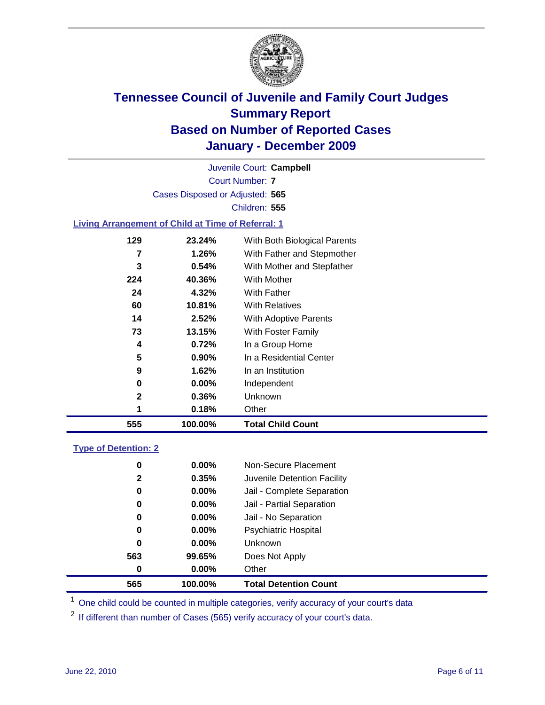

Court Number: **7** Juvenile Court: **Campbell** Cases Disposed or Adjusted: **565** Children: **555**

#### **Living Arrangement of Child at Time of Referral: 1**

| 555 | 100.00%  | <b>Total Child Count</b>     |
|-----|----------|------------------------------|
| 1   | 0.18%    | Other                        |
| 2   | 0.36%    | Unknown                      |
| 0   | $0.00\%$ | Independent                  |
| 9   | 1.62%    | In an Institution            |
| 5   | $0.90\%$ | In a Residential Center      |
| 4   | 0.72%    | In a Group Home              |
| 73  | 13.15%   | With Foster Family           |
| 14  | 2.52%    | With Adoptive Parents        |
| 60  | 10.81%   | <b>With Relatives</b>        |
| 24  | 4.32%    | <b>With Father</b>           |
| 224 | 40.36%   | With Mother                  |
| 3   | 0.54%    | With Mother and Stepfather   |
| 7   | 1.26%    | With Father and Stepmother   |
| 129 | 23.24%   | With Both Biological Parents |
|     |          |                              |

#### **Type of Detention: 2**

| 565          | 100.00%  | <b>Total Detention Count</b> |  |
|--------------|----------|------------------------------|--|
| 0            | $0.00\%$ | Other                        |  |
| 563          | 99.65%   | Does Not Apply               |  |
| 0            | $0.00\%$ | Unknown                      |  |
| 0            | $0.00\%$ | <b>Psychiatric Hospital</b>  |  |
| 0            | 0.00%    | Jail - No Separation         |  |
| 0            | $0.00\%$ | Jail - Partial Separation    |  |
| 0            | $0.00\%$ | Jail - Complete Separation   |  |
| $\mathbf{2}$ | 0.35%    | Juvenile Detention Facility  |  |
| 0            | $0.00\%$ | Non-Secure Placement         |  |
|              |          |                              |  |

<sup>1</sup> One child could be counted in multiple categories, verify accuracy of your court's data

<sup>2</sup> If different than number of Cases (565) verify accuracy of your court's data.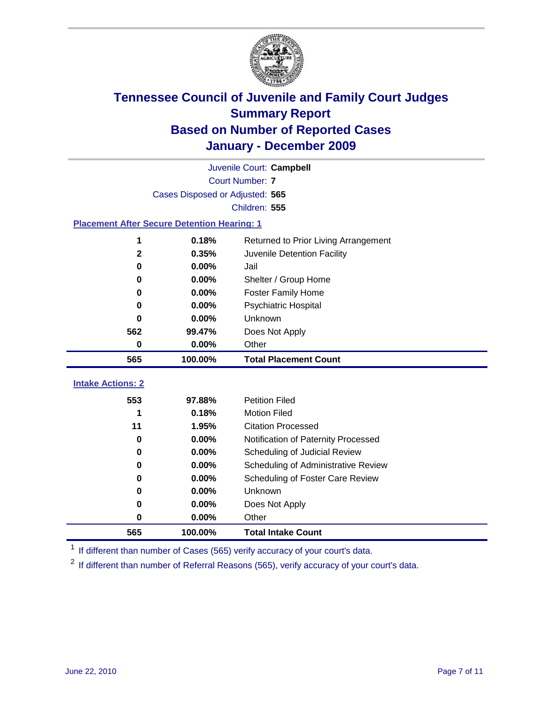

|                                                    | Juvenile Court: Campbell        |                                             |  |  |  |
|----------------------------------------------------|---------------------------------|---------------------------------------------|--|--|--|
|                                                    | <b>Court Number: 7</b>          |                                             |  |  |  |
|                                                    | Cases Disposed or Adjusted: 565 |                                             |  |  |  |
|                                                    |                                 | Children: 555                               |  |  |  |
| <b>Placement After Secure Detention Hearing: 1</b> |                                 |                                             |  |  |  |
| 1                                                  | 0.18%                           | Returned to Prior Living Arrangement        |  |  |  |
| $\mathbf{2}$                                       | 0.35%                           | Juvenile Detention Facility                 |  |  |  |
| $\bf{0}$                                           | 0.00%                           | Jail                                        |  |  |  |
| 0                                                  | 0.00%                           | Shelter / Group Home                        |  |  |  |
| 0                                                  | $0.00\%$                        | <b>Foster Family Home</b>                   |  |  |  |
| 0                                                  | 0.00%                           | Psychiatric Hospital                        |  |  |  |
| 0                                                  | 0.00%                           | Unknown                                     |  |  |  |
| 562                                                | 99.47%                          | Does Not Apply                              |  |  |  |
| 0                                                  | 0.00%                           | Other                                       |  |  |  |
| 565                                                | 100.00%                         | <b>Total Placement Count</b>                |  |  |  |
| <b>Intake Actions: 2</b>                           |                                 |                                             |  |  |  |
| 553                                                | 97.88%                          | <b>Petition Filed</b>                       |  |  |  |
| 1                                                  | 0.18%                           | <b>Motion Filed</b>                         |  |  |  |
| 11                                                 | 1.95%                           | <b>Citation Processed</b>                   |  |  |  |
| $\bf{0}$                                           | 0.00%                           | Notification of Paternity Processed         |  |  |  |
| 0                                                  | 0.00%                           | Scheduling of Judicial Review               |  |  |  |
| $\bf{0}$                                           | 0.00%                           |                                             |  |  |  |
|                                                    |                                 | Scheduling of Administrative Review         |  |  |  |
| 0<br>0                                             | 0.00%<br>0.00%                  | Scheduling of Foster Care Review<br>Unknown |  |  |  |
|                                                    |                                 |                                             |  |  |  |
| 0                                                  | 0.00%                           | Does Not Apply                              |  |  |  |
| 0                                                  | 0.00%                           | Other                                       |  |  |  |
| 565                                                | 100.00%                         | <b>Total Intake Count</b>                   |  |  |  |

<sup>1</sup> If different than number of Cases (565) verify accuracy of your court's data.

<sup>2</sup> If different than number of Referral Reasons (565), verify accuracy of your court's data.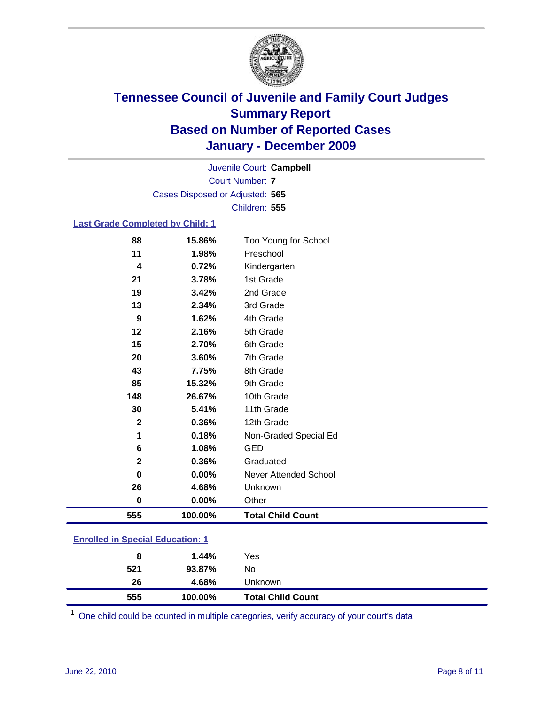

Court Number: **7** Juvenile Court: **Campbell** Cases Disposed or Adjusted: **565** Children: **555**

#### **Last Grade Completed by Child: 1**

| 555                           | 100.00%        | <b>Total Child Count</b>     |
|-------------------------------|----------------|------------------------------|
| $\bf{0}$                      | 0.00%          | Other                        |
| 26                            | 4.68%          | Unknown                      |
| 0                             | 0.00%          | <b>Never Attended School</b> |
| $\mathbf{2}$                  | 0.36%          | Graduated                    |
| 6                             | 1.08%          | <b>GED</b>                   |
| 1                             | 0.18%          | Non-Graded Special Ed        |
| $\mathbf 2$                   | 0.36%          | 12th Grade                   |
| 30                            | 5.41%          | 11th Grade                   |
| 148                           | 26.67%         | 10th Grade                   |
| 85                            | 15.32%         | 9th Grade                    |
| 43                            | 7.75%          | 8th Grade                    |
| 20                            | 3.60%          | 7th Grade                    |
| 15                            | 2.70%          | 6th Grade                    |
| 12                            | 2.16%          | 5th Grade                    |
| 9                             | 1.62%          | 4th Grade                    |
| 13                            | 2.34%          | 3rd Grade                    |
| 19                            | 3.42%          | 2nd Grade                    |
| 21                            | 3.78%          | 1st Grade                    |
| 11<br>$\overline{\mathbf{4}}$ | 1.98%<br>0.72% | Preschool<br>Kindergarten    |
| 88                            | 15.86%         | Too Young for School         |

### **Enrolled in Special Education: 1**

| 555 | 100.00% | <b>Total Child Count</b> |  |
|-----|---------|--------------------------|--|
| 26  | 4.68%   | <b>Unknown</b>           |  |
| 521 | 93.87%  | No                       |  |
| 8   | 1.44%   | Yes                      |  |
|     |         |                          |  |

One child could be counted in multiple categories, verify accuracy of your court's data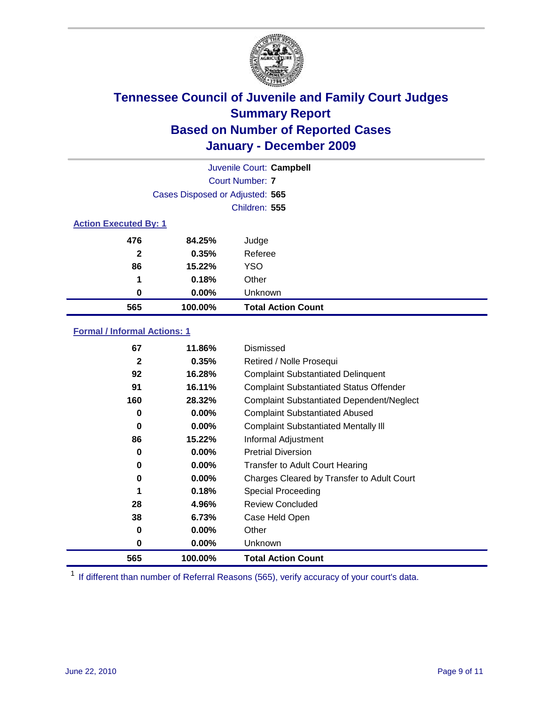

| Juvenile Court: Campbell     |                                 |                           |  |  |
|------------------------------|---------------------------------|---------------------------|--|--|
|                              | Court Number: 7                 |                           |  |  |
|                              | Cases Disposed or Adjusted: 565 |                           |  |  |
|                              |                                 | Children: 555             |  |  |
| <b>Action Executed By: 1</b> |                                 |                           |  |  |
| 476                          | 84.25%                          | Judge                     |  |  |
| $\mathbf{2}$                 | 0.35%                           | Referee                   |  |  |
| 86                           | 15.22%                          | <b>YSO</b>                |  |  |
| 1                            | 0.18%                           | Other                     |  |  |
| 0                            | $0.00\%$                        | Unknown                   |  |  |
| 565                          | 100.00%                         | <b>Total Action Count</b> |  |  |

### **Formal / Informal Actions: 1**

| 67           | 11.86%   | Dismissed                                        |
|--------------|----------|--------------------------------------------------|
| $\mathbf{2}$ | 0.35%    | Retired / Nolle Prosequi                         |
| 92           | 16.28%   | <b>Complaint Substantiated Delinquent</b>        |
| 91           | 16.11%   | <b>Complaint Substantiated Status Offender</b>   |
| 160          | 28.32%   | <b>Complaint Substantiated Dependent/Neglect</b> |
| 0            | $0.00\%$ | <b>Complaint Substantiated Abused</b>            |
| $\bf{0}$     | $0.00\%$ | <b>Complaint Substantiated Mentally III</b>      |
| 86           | 15.22%   | Informal Adjustment                              |
| 0            | $0.00\%$ | <b>Pretrial Diversion</b>                        |
| 0            | 0.00%    | <b>Transfer to Adult Court Hearing</b>           |
| 0            | 0.00%    | Charges Cleared by Transfer to Adult Court       |
|              | 0.18%    | Special Proceeding                               |
| 28           | 4.96%    | <b>Review Concluded</b>                          |
| 38           | 6.73%    | Case Held Open                                   |
| 0            | $0.00\%$ | Other                                            |
| 0            | $0.00\%$ | <b>Unknown</b>                                   |
| 565          | 100.00%  | <b>Total Action Count</b>                        |

<sup>1</sup> If different than number of Referral Reasons (565), verify accuracy of your court's data.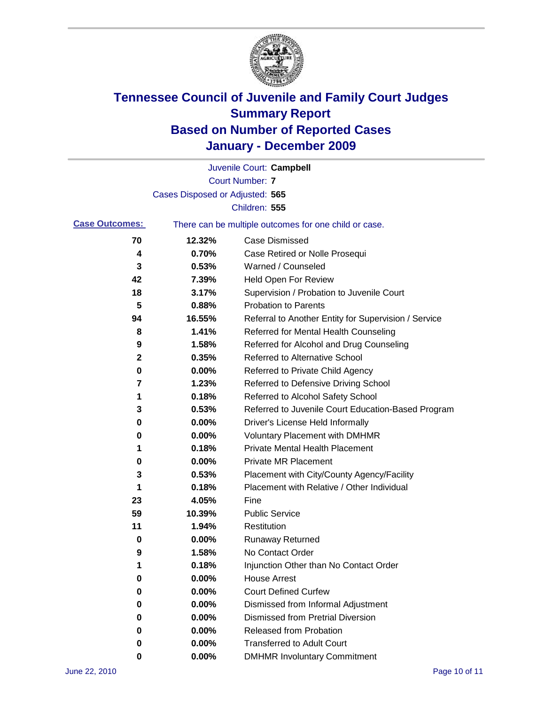

|                       |                                 | Juvenile Court: Campbell                              |
|-----------------------|---------------------------------|-------------------------------------------------------|
|                       |                                 | <b>Court Number: 7</b>                                |
|                       | Cases Disposed or Adjusted: 565 |                                                       |
|                       |                                 | Children: 555                                         |
| <b>Case Outcomes:</b> |                                 | There can be multiple outcomes for one child or case. |
| 70                    | 12.32%                          | <b>Case Dismissed</b>                                 |
| 4                     | 0.70%                           | Case Retired or Nolle Prosequi                        |
| 3                     | 0.53%                           | Warned / Counseled                                    |
| 42                    | 7.39%                           | <b>Held Open For Review</b>                           |
| 18                    | 3.17%                           | Supervision / Probation to Juvenile Court             |
| 5                     | 0.88%                           | <b>Probation to Parents</b>                           |
| 94                    | 16.55%                          | Referral to Another Entity for Supervision / Service  |
| 8                     | 1.41%                           | Referred for Mental Health Counseling                 |
| 9                     | 1.58%                           | Referred for Alcohol and Drug Counseling              |
| $\mathbf{2}$          | 0.35%                           | <b>Referred to Alternative School</b>                 |
| 0                     | 0.00%                           | Referred to Private Child Agency                      |
| 7                     | 1.23%                           | Referred to Defensive Driving School                  |
| 1                     | 0.18%                           | Referred to Alcohol Safety School                     |
| 3                     | 0.53%                           | Referred to Juvenile Court Education-Based Program    |
| 0                     | 0.00%                           | Driver's License Held Informally                      |
| 0                     | 0.00%                           | <b>Voluntary Placement with DMHMR</b>                 |
| 1                     | 0.18%                           | <b>Private Mental Health Placement</b>                |
| 0                     | 0.00%                           | <b>Private MR Placement</b>                           |
| 3                     | 0.53%                           | Placement with City/County Agency/Facility            |
| 1                     | 0.18%                           | Placement with Relative / Other Individual            |
| 23                    | 4.05%                           | Fine                                                  |
| 59                    | 10.39%                          | <b>Public Service</b>                                 |
| 11                    | 1.94%                           | Restitution                                           |
| 0                     | 0.00%                           | <b>Runaway Returned</b>                               |
| 9                     | 1.58%                           | No Contact Order                                      |
| 1                     | 0.18%                           | Injunction Other than No Contact Order                |
| 0                     | 0.00%                           | <b>House Arrest</b>                                   |
| 0                     | 0.00%                           | <b>Court Defined Curfew</b>                           |
| 0                     | 0.00%                           | Dismissed from Informal Adjustment                    |
| 0                     | 0.00%                           | <b>Dismissed from Pretrial Diversion</b>              |
| 0                     | 0.00%                           | <b>Released from Probation</b>                        |
| 0                     | 0.00%                           | <b>Transferred to Adult Court</b>                     |
| 0                     | $0.00\%$                        | <b>DMHMR Involuntary Commitment</b>                   |